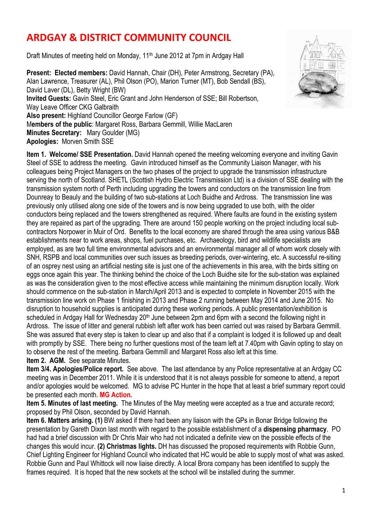## **ARDGAY & DISTRICT COMMUNITY COUNCIL**

Draft Minutes of meeting held on Monday, 11<sup>th</sup> June 2012 at 7pm in Ardgay Hall

**Present: Elected members:** David Hannah, Chair (DH), Peter Armstrong, Secretary (PA), Alan Lawrence, Treasurer (AL), Phil Olson (PO), Marion Turner (MT), Bob Sendall (BS), David Laver (DL), Betty Wright (BW) **Invited Guests:** Gavin Steel, Eric Grant and John Henderson of SSE; Bill Robertson, Way Leave Officer CKG Galbraith **Also present:** Highland Councillor George Farlow (GF) M**embers of the public**: Margaret Ross, Barbara Gemmill, Willie MacLaren **Minutes Secretary:** Mary Goulder (MG) **Apologies:** Morven Smith SSE

**Item 1. Welcome/ SSE Presentation.** David Hannah opened the meeting welcoming everyone and inviting Gavin Steel of SSE to address the meeting. Gavin introduced himself as the Community Liaison Manager, with his colleagues being Project Managers on the two phases of the project to upgrade the transmission infrastructure serving the north of Scotland. SHETL (Scottish Hydro Electric Transmission Ltd) is a division of SSE dealing with the transmission system north of Perth including upgrading the towers and conductors on the transmission line from Dounreay to Beauly and the building of two sub-stations at Loch Buidhe and Ardross. The transmission line was previously only utilised along one side of the towers and is now being upgraded to use both, with the older conductors being replaced and the towers strengthened as required. Where faults are found in the existing system they are repaired as part of the upgrading. There are around 150 people working on the project including local subcontractors Norpower in Muir of Ord. Benefits to the local economy are shared through the area using various B&B establishments near to work areas, shops, fuel purchases, etc. Archaeology, bird and wildlife specialists are employed, as are two full time environmental advisors and an environmental manager all of whom work closely with SNH, RSPB and local communities over such issues as breeding periods, over-wintering, etc. A successful re-siting of an osprey nest using an artificial nesting site is just one of the achievements in this area, with the birds sitting on eggs once again this year. The thinking behind the choice of the Loch Buidhe site for the sub-station was explained as was the consideration given to the most effective access while maintaining the minimum disruption locally. Work should commence on the sub-station in March/April 2013 and is expected to complete in November 2015 with the transmission line work on Phase 1 finishing in 2013 and Phase 2 running between May 2014 and June 2015. No disruption to household supplies is anticipated during these working periods. A public presentation/exhibition is scheduled in Ardgay Hall for Wednesday 20<sup>th</sup> June between 2pm and 6pm with a second the following night in Ardross. The issue of litter and general rubbish left after work has been carried out was raised by Barbara Gemmill. She was assured that every step is taken to clear up and also that if a complaint is lodged it is followed up and dealt with promptly by SSE. There being no further questions most of the team left at 7.40pm with Gavin opting to stay on to observe the rest of the meeting. Barbara Gemmill and Margaret Ross also left at this time.

**Item 2. AGM.** See separate Minutes.

**Item 3/4. Apologies/Police report.** See above. The last attendance by any Police representative at an Ardgay CC meeting was in December 2011. While it is understood that it is not always possible for someone to attend, a report and/or apologies would be welcomed. MG to advise PC Hunter in the hope that at least a brief summary report could be presented each month. **MG Action.** 

**Item 5. Minutes of last meeting.** The Minutes of the May meeting were accepted as a true and accurate record; proposed by Phil Olson, seconded by David Hannah.

**Item 6. Matters arising. (1)** BW asked if there had been any liaison with the GPs in Bonar Bridge following the presentation by Gareth Dixon last month with regard to the possible establishment of a **dispensing pharmacy**. PO had had a brief discussion with Dr Chris Mair who had not indicated a definite view on the possible effects of the changes this would incur. **(2) Christmas lights.** DH has discussed the proposed requirements with Robbie Gunn, Chief Lighting Engineer for Highland Council who indicated that HC would be able to supply most of what was asked. Robbie Gunn and Paul Whittock will now liaise directly. A local Brora company has been identified to supply the frames required. It is hoped that the new sockets at the school will be installed during the summer.

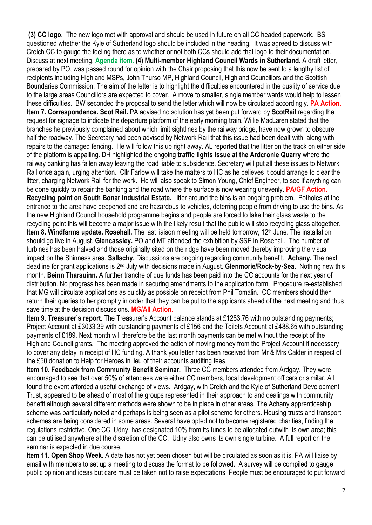**(3) CC logo.** The new logo met with approval and should be used in future on all CC headed paperwork. BS questioned whether the Kyle of Sutherland logo should be included in the heading. It was agreed to discuss with Creich CC to gauge the feeling there as to whether or not both CCs should add that logo to their documentation. Discuss at next meeting. **Agenda item. (4) Multi-member Highland Council Wards in Sutherland.** A draft letter, prepared by PO, was passed round for opinion with the Chair proposing that this now be sent to a lengthy list of recipients including Highland MSPs, John Thurso MP, Highland Council, Highland Councillors and the Scottish Boundaries Commission. The aim of the letter is to highlight the difficulties encountered in the quality of service due to the large areas Councillors are expected to cover. A move to smaller, single member wards would help to lessen these difficulties. BW seconded the proposal to send the letter which will now be circulated accordingly. **PA Action. Item 7. Correspondence. Scot Rail.** PA advised no solution has yet been put forward by **ScotRail** regarding the request for signage to indicate the departure platform of the early morning train. Willie MacLaren stated that the branches he previously complained about which limit sightlines by the railway bridge, have now grown to obscure half the roadway. The Secretary had been advised by Network Rail that this issue had been dealt with, along with repairs to the damaged fencing. He will follow this up right away. AL reported that the litter on the track on either side of the platform is appalling. DH highlighted the ongoing **traffic lights issue at the Ardcronie Quarry** where the railway banking has fallen away leaving the road liable to subsidence. Secretary will put all these issues to Network Rail once again, urging attention. Cllr Farlow will take the matters to HC as he believes it could arrange to clear the litter, charging Network Rail for the work. He will also speak to Simon Young, Chief Engineer, to see if anything can be done quickly to repair the banking and the road where the surface is now wearing unevenly. **PA/GF Action. Recycling point on South Bonar Industrial Estate.** Litter around the bins is an ongoing problem. Potholes at the entrance to the area have deepened and are hazardous to vehicles, deterring people from driving to use the bins. As the new Highland Council household programme begins and people are forced to take their glass waste to the recycling point this will become a major issue with the likely result that the public will stop recycling glass altogether. **Item 8. Windfarms update. Rosehall.** The last liaison meeting will be held tomorrow, 12<sup>th</sup> June. The installation should go live in August. **Glencassley.** PO and MT attended the exhibition by SSE in Rosehall. The number of turbines has been halved and those originally sited on the ridge have been moved thereby improving the visual impact on the Shinness area. **Sallachy.** Discussions are ongoing regarding community benefit. **Achany.** The next deadline for grant applications is 2nd July with decisions made in August. **Glenmorie/Rock-by-Sea.** Nothing new this month. **Beinn Tharsuinn.** A further tranche of due funds has been paid into the CC accounts for the next year of distribution. No progress has been made in securing amendments to the application form. Procedure re-established that MG will circulate applications as quickly as possible on receipt from Phil Tomalin. CC members should then return their queries to her promptly in order that they can be put to the applicants ahead of the next meeting and thus save time at the decision discussions. **MG/All Action.** 

**Item 9. Treasurer's report.** The Treasurer's Account balance stands at £1283.76 with no outstanding payments: Project Account at £3033.39 with outstanding payments of £156 and the Toilets Account at £488.65 with outstanding payments of £189. Next month will therefore be the last month payments can be met without the receipt of the Highland Council grants. The meeting approved the action of moving money from the Project Account if necessary to cover any delay in receipt of HC funding. A thank you letter has been received from Mr & Mrs Calder in respect of the £50 donation to Help for Heroes in lieu of their accounts auditing fees.

**Item 10. Feedback from Community Benefit Seminar.** Three CC members attended from Ardgay. They were encouraged to see that over 50% of attendees were either CC members, local development officers or similar. All found the event afforded a useful exchange of views. Ardgay, with Creich and the Kyle of Sutherland Development Trust, appeared to be ahead of most of the groups represented in their approach to and dealings with community benefit although several different methods were shown to be in place in other areas. The Achany apprenticeship scheme was particularly noted and perhaps is being seen as a pilot scheme for others. Housing trusts and transport schemes are being considered in some areas. Several have opted not to become registered charities, finding the regulations restrictive. One CC, Udny, has designated 10% from its funds to be allocated outwith its own area; this can be utilised anywhere at the discretion of the CC. Udny also owns its own single turbine. A full report on the seminar is expected in due course.

**Item 11. Open Shop Week.** A date has not yet been chosen but will be circulated as soon as it is. PA will liaise by email with members to set up a meeting to discuss the format to be followed. A survey will be compiled to gauge public opinion and ideas but care must be taken not to raise expectations. People must be encouraged to put forward